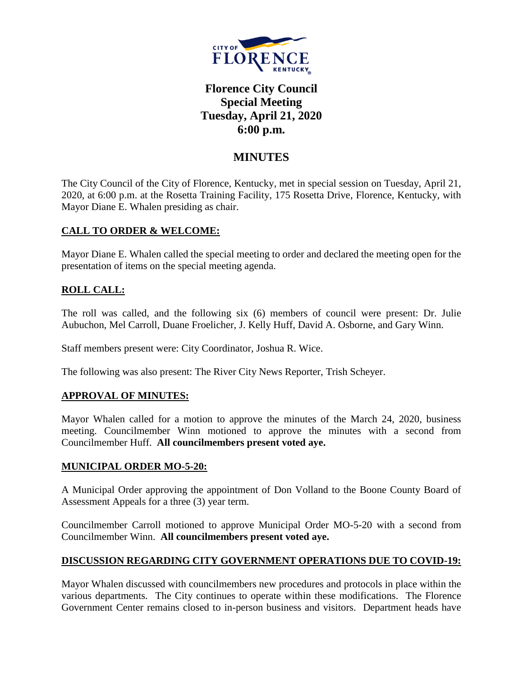

# **Florence City Council Special Meeting Tuesday, April 21, 2020 6:00 p.m.**

## **MINUTES**

The City Council of the City of Florence, Kentucky, met in special session on Tuesday, April 21, 2020, at 6:00 p.m. at the Rosetta Training Facility, 175 Rosetta Drive, Florence, Kentucky, with Mayor Diane E. Whalen presiding as chair.

## **CALL TO ORDER & WELCOME:**

Mayor Diane E. Whalen called the special meeting to order and declared the meeting open for the presentation of items on the special meeting agenda.

## **ROLL CALL:**

The roll was called, and the following six (6) members of council were present: Dr. Julie Aubuchon, Mel Carroll, Duane Froelicher, J. Kelly Huff, David A. Osborne, and Gary Winn.

Staff members present were: City Coordinator, Joshua R. Wice.

The following was also present: The River City News Reporter, Trish Scheyer.

## **APPROVAL OF MINUTES:**

Mayor Whalen called for a motion to approve the minutes of the March 24, 2020, business meeting. Councilmember Winn motioned to approve the minutes with a second from Councilmember Huff. **All councilmembers present voted aye.** 

#### **MUNICIPAL ORDER MO-5-20:**

A Municipal Order approving the appointment of Don Volland to the Boone County Board of Assessment Appeals for a three (3) year term.

Councilmember Carroll motioned to approve Municipal Order MO-5-20 with a second from Councilmember Winn. **All councilmembers present voted aye.**

## **DISCUSSION REGARDING CITY GOVERNMENT OPERATIONS DUE TO COVID-19:**

Mayor Whalen discussed with councilmembers new procedures and protocols in place within the various departments. The City continues to operate within these modifications. The Florence Government Center remains closed to in-person business and visitors. Department heads have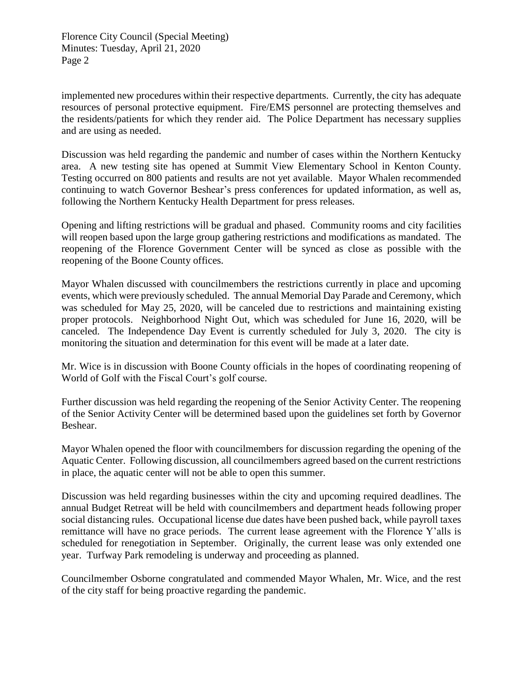Florence City Council (Special Meeting) Minutes: Tuesday, April 21, 2020 Page 2

implemented new procedures within their respective departments. Currently, the city has adequate resources of personal protective equipment. Fire/EMS personnel are protecting themselves and the residents/patients for which they render aid. The Police Department has necessary supplies and are using as needed.

Discussion was held regarding the pandemic and number of cases within the Northern Kentucky area. A new testing site has opened at Summit View Elementary School in Kenton County. Testing occurred on 800 patients and results are not yet available. Mayor Whalen recommended continuing to watch Governor Beshear's press conferences for updated information, as well as, following the Northern Kentucky Health Department for press releases.

Opening and lifting restrictions will be gradual and phased. Community rooms and city facilities will reopen based upon the large group gathering restrictions and modifications as mandated. The reopening of the Florence Government Center will be synced as close as possible with the reopening of the Boone County offices.

Mayor Whalen discussed with councilmembers the restrictions currently in place and upcoming events, which were previously scheduled. The annual Memorial Day Parade and Ceremony, which was scheduled for May 25, 2020, will be canceled due to restrictions and maintaining existing proper protocols. Neighborhood Night Out, which was scheduled for June 16, 2020, will be canceled. The Independence Day Event is currently scheduled for July 3, 2020. The city is monitoring the situation and determination for this event will be made at a later date.

Mr. Wice is in discussion with Boone County officials in the hopes of coordinating reopening of World of Golf with the Fiscal Court's golf course.

Further discussion was held regarding the reopening of the Senior Activity Center. The reopening of the Senior Activity Center will be determined based upon the guidelines set forth by Governor Beshear.

Mayor Whalen opened the floor with councilmembers for discussion regarding the opening of the Aquatic Center. Following discussion, all councilmembers agreed based on the current restrictions in place, the aquatic center will not be able to open this summer.

Discussion was held regarding businesses within the city and upcoming required deadlines. The annual Budget Retreat will be held with councilmembers and department heads following proper social distancing rules. Occupational license due dates have been pushed back, while payroll taxes remittance will have no grace periods. The current lease agreement with the Florence Y'alls is scheduled for renegotiation in September. Originally, the current lease was only extended one year. Turfway Park remodeling is underway and proceeding as planned.

Councilmember Osborne congratulated and commended Mayor Whalen, Mr. Wice, and the rest of the city staff for being proactive regarding the pandemic.